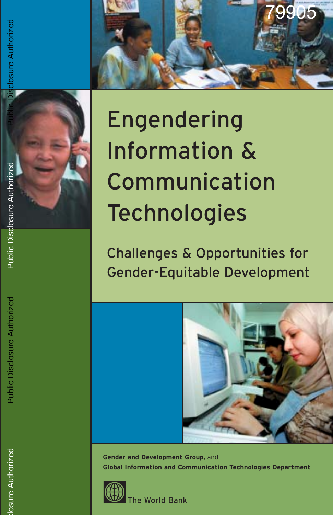

# Public Disclosure Authorized

# Engendering Information & Communication **Technologies**

Challenges & Opportunities for Gender-Equitable Development



**Gender and Development Group,** and **Global Information and Communication Technologies Department**



he World Bank

sclosure Authorizec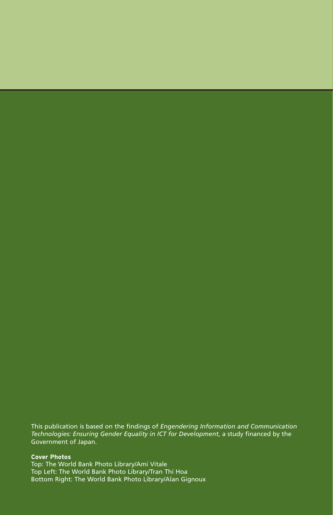This publication is based on the findings of *Engendering Information and Communication Technologies: Ensuring Gender Equality in ICT for Development*, a study financed by the Government of Japan.

### **Cover Photos**

Top: The World Bank Photo Library/Ami Vitale Top Left: The World Bank Photo Library/Tran Thi Hoa Bottom Right: The World Bank Photo Library/Alan Gignoux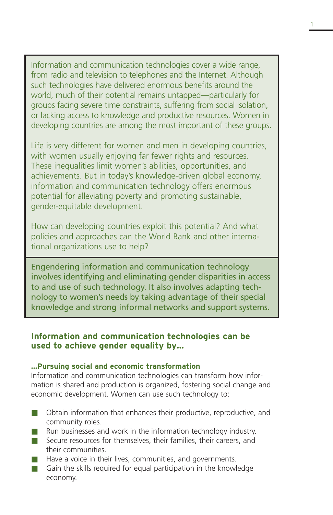Information and communication technologies cover a wide range, from radio and television to telephones and the Internet. Although such technologies have delivered enormous benefits around the world, much of their potential remains untapped—particularly for groups facing severe time constraints, suffering from social isolation, or lacking access to knowledge and productive resources. Women in developing countries are among the most important of these groups.

Life is very different for women and men in developing countries, with women usually enjoying far fewer rights and resources. These inequalities limit women's abilities, opportunities, and achievements. But in today's knowledge-driven global economy, information and communication technology offers enormous potential for alleviating poverty and promoting sustainable, gender-equitable development.

How can developing countries exploit this potential? And what policies and approaches can the World Bank and other international organizations use to help?

Engendering information and communication technology involves identifying and eliminating gender disparities in access to and use of such technology. It also involves adapting technology to women's needs by taking advantage of their special knowledge and strong informal networks and support systems.

### **Information and communication technologies can be used to achieve gender equality by…**

### **…Pursuing social and economic transformation**

Information and communication technologies can transform how information is shared and production is organized, fostering social change and economic development. Women can use such technology to:

- Obtain information that enhances their productive, reproductive, and community roles.
- Run businesses and work in the information technology industry.
- Secure resources for themselves, their families, their careers, and their communities.
- Have a voice in their lives, communities, and governments.
- Gain the skills required for equal participation in the knowledge economy.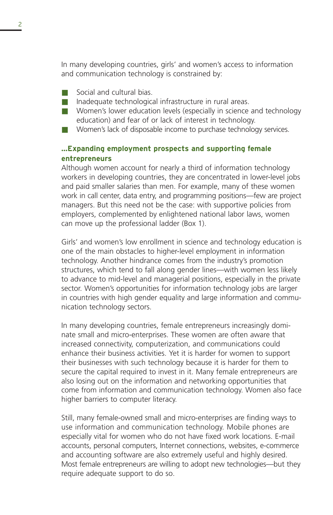In many developing countries, girls' and women's access to information and communication technology is constrained by:

- Social and cultural bias.
- Inadequate technological infrastructure in rural areas.
- Women's lower education levels (especially in science and technology education) and fear of or lack of interest in technology.
- Women's lack of disposable income to purchase technology services.

## **…Expanding employment prospects and supporting female entrepreneurs**

Although women account for nearly a third of information technology workers in developing countries, they are concentrated in lower-level jobs and paid smaller salaries than men. For example, many of these women work in call center, data entry, and programming positions—few are project managers. But this need not be the case: with supportive policies from employers, complemented by enlightened national labor laws, women can move up the professional ladder (Box 1).

Girls' and women's low enrollment in science and technology education is one of the main obstacles to higher-level employment in information technology. Another hindrance comes from the industry's promotion structures, which tend to fall along gender lines—with women less likely to advance to mid-level and managerial positions, especially in the private sector. Women's opportunities for information technology jobs are larger in countries with high gender equality and large information and communication technology sectors.

In many developing countries, female entrepreneurs increasingly dominate small and micro-enterprises. These women are often aware that increased connectivity, computerization, and communications could enhance their business activities. Yet it is harder for women to support their businesses with such technology because it is harder for them to secure the capital required to invest in it. Many female entrepreneurs are also losing out on the information and networking opportunities that come from information and communication technology. Women also face higher barriers to computer literacy.

Still, many female-owned small and micro-enterprises are finding ways to use information and communication technology. Mobile phones are especially vital for women who do not have fixed work locations. E-mail accounts, personal computers, Internet connections, websites, e-commerce and accounting software are also extremely useful and highly desired. Most female entrepreneurs are willing to adopt new technologies—but they require adequate support to do so.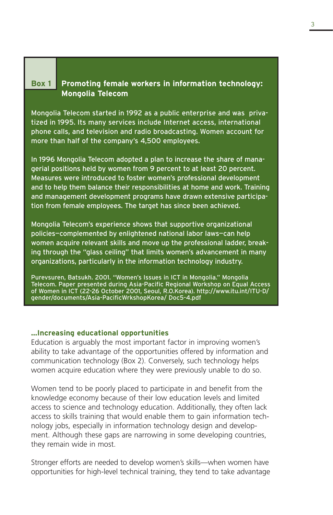### **Box 1 Promoting female workers in information technology: Mongolia Telecom**

Mongolia Telecom started in 1992 as a public enterprise and was privatized in 1995. Its many services include Internet access, international phone calls, and television and radio broadcasting. Women account for more than half of the company's 4,500 employees.

In 1996 Mongolia Telecom adopted a plan to increase the share of managerial positions held by women from 9 percent to at least 20 percent. Measures were introduced to foster women's professional development and to help them balance their responsibilities at home and work. Training and management development programs have drawn extensive participation from female employees. The target has since been achieved.

Mongolia Telecom's experience shows that supportive organizational policies—complemented by enlightened national labor laws—can help women acquire relevant skills and move up the professional ladder, breaking through the "glass ceiling" that limits women's advancement in many organizations, particularly in the information technology industry.

Purevsuren, Batsukh. 2001. "Women's Issues in ICT in Mongolia." Mongolia Telecom. Paper presented during Asia-Pacific Regional Workshop on Equal Access of Women in ICT (22-26 October 2001, Seoul, R.O.Korea). http://www.itu.int/ITU-D/ gender/documents/Asia-PacificWrkshopKorea/ Doc5-4.pdf

### **…Increasing educational opportunities**

Education is arguably the most important factor in improving women's ability to take advantage of the opportunities offered by information and communication technology (Box 2). Conversely, such technology helps women acquire education where they were previously unable to do so.

Women tend to be poorly placed to participate in and benefit from the knowledge economy because of their low education levels and limited access to science and technology education. Additionally, they often lack access to skills training that would enable them to gain information technology jobs, especially in information technology design and development. Although these gaps are narrowing in some developing countries, they remain wide in most.

Stronger efforts are needed to develop women's skills—when women have opportunities for high-level technical training, they tend to take advantage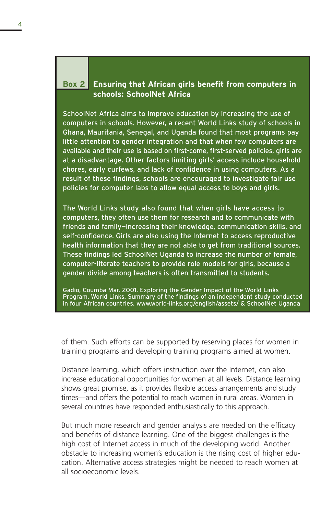## **Box 2 Ensuring that African girls benefit from computers in schools: SchoolNet Africa**

SchoolNet Africa aims to improve education by increasing the use of computers in schools. However, a recent World Links study of schools in Ghana, Mauritania, Senegal, and Uganda found that most programs pay little attention to gender integration and that when few computers are available and their use is based on first-come, first-served policies, girls are at a disadvantage. Other factors limiting girls' access include household chores, early curfews, and lack of confidence in using computers. As a result of these findings, schools are encouraged to investigate fair use policies for computer labs to allow equal access to boys and girls.

The World Links study also found that when girls have access to computers, they often use them for research and to communicate with friends and family—increasing their knowledge, communication skills, and self-confidence. Girls are also using the Internet to access reproductive health information that they are not able to get from traditional sources. These findings led SchoolNet Uganda to increase the number of female, computer-literate teachers to provide role models for girls, because a gender divide among teachers is often transmitted to students.

Gadio, Coumba Mar. 2001. Exploring the Gender Impact of the World Links Program. World Links. Summary of the findings of an independent study conducted in four African countries. www.world-links.org/english/assets/ & SchoolNet Uganda

of them. Such efforts can be supported by reserving places for women in training programs and developing training programs aimed at women.

Distance learning, which offers instruction over the Internet, can also increase educational opportunities for women at all levels. Distance learning shows great promise, as it provides flexible access arrangements and study times—and offers the potential to reach women in rural areas. Women in several countries have responded enthusiastically to this approach.

But much more research and gender analysis are needed on the efficacy and benefits of distance learning. One of the biggest challenges is the high cost of Internet access in much of the developing world. Another obstacle to increasing women's education is the rising cost of higher education. Alternative access strategies might be needed to reach women at all socioeconomic levels.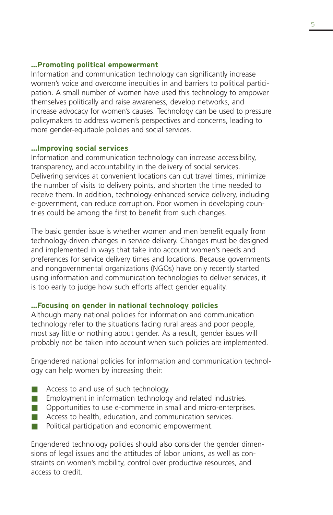### **…Promoting political empowerment**

Information and communication technology can significantly increase women's voice and overcome inequities in and barriers to political participation. A small number of women have used this technology to empower themselves politically and raise awareness, develop networks, and increase advocacy for women's causes. Technology can be used to pressure policymakers to address women's perspectives and concerns, leading to more gender-equitable policies and social services.

### **…Improving social services**

Information and communication technology can increase accessibility, transparency, and accountability in the delivery of social services. Delivering services at convenient locations can cut travel times, minimize the number of visits to delivery points, and shorten the time needed to receive them. In addition, technology-enhanced service delivery, including e-government, can reduce corruption. Poor women in developing countries could be among the first to benefit from such changes.

The basic gender issue is whether women and men benefit equally from technology-driven changes in service delivery. Changes must be designed and implemented in ways that take into account women's needs and preferences for service delivery times and locations. Because governments and nongovernmental organizations (NGOs) have only recently started using information and communication technologies to deliver services, it is too early to judge how such efforts affect gender equality.

### **…Focusing on gender in national technology policies**

Although many national policies for information and communication technology refer to the situations facing rural areas and poor people, most say little or nothing about gender. As a result, gender issues will probably not be taken into account when such policies are implemented.

Engendered national policies for information and communication technology can help women by increasing their:

- Access to and use of such technology.
- Employment in information technology and related industries.
- Opportunities to use e-commerce in small and micro-enterprises.
- Access to health, education, and communication services.
- Political participation and economic empowerment.

Engendered technology policies should also consider the gender dimensions of legal issues and the attitudes of labor unions, as well as constraints on women's mobility, control over productive resources, and access to credit.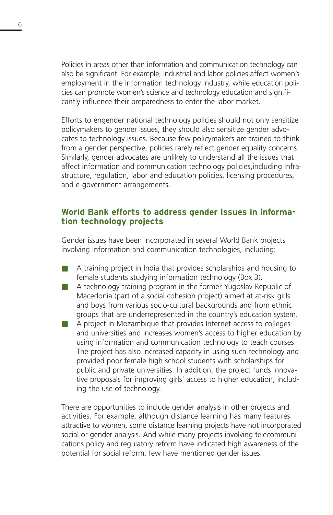Policies in areas other than information and communication technology can also be significant. For example, industrial and labor policies affect women's employment in the information technology industry, while education policies can promote women's science and technology education and significantly influence their preparedness to enter the labor market.

Efforts to engender national technology policies should not only sensitize policymakers to gender issues, they should also sensitize gender advocates to technology issues. Because few policymakers are trained to think from a gender perspective, policies rarely reflect gender equality concerns. Similarly, gender advocates are unlikely to understand all the issues that affect information and communication technology policies,including infrastructure, regulation, labor and education policies, licensing procedures, and e-government arrangements.

## **World Bank efforts to address gender issues in information technology projects**

Gender issues have been incorporated in several World Bank projects involving information and communication technologies, including:

- A training project in India that provides scholarships and housing to female students studying information technology (Box 3).
- A technology training program in the former Yugoslav Republic of Macedonia (part of a social cohesion project) aimed at at-risk girls and boys from various socio-cultural backgrounds and from ethnic groups that are underrepresented in the country's education system.
- A project in Mozambique that provides Internet access to colleges and universities and increases women's access to higher education by using information and communication technology to teach courses. The project has also increased capacity in using such technology and provided poor female high school students with scholarships for public and private universities. In addition, the project funds innovative proposals for improving girls' access to higher education, including the use of technology.

There are opportunities to include gender analysis in other projects and activities. For example, although distance learning has many features attractive to women, some distance learning projects have not incorporated social or gender analysis. And while many projects involving telecommunications policy and regulatory reform have indicated high awareness of the potential for social reform, few have mentioned gender issues.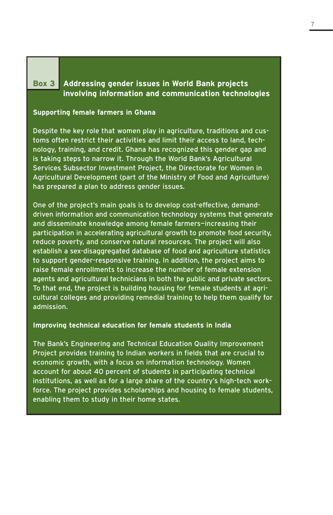## **Box 3 Addressing gender issues in World Bank projects involving information and communication technologies**

### **Supporting female farmers in Ghana**

Despite the key role that women play in agriculture, traditions and customs often restrict their activities and limit their access to land, technology, training, and credit. Ghana has recognized this gender gap and is taking steps to narrow it. Through the World Bank's Agricultural Services Subsector Investment Project, the Directorate for Women in Agricultural Development (part of the Ministry of Food and Agriculture) has prepared a plan to address gender issues.

One of the project's main goals is to develop cost-effective, demanddriven information and communication technology systems that generate and disseminate knowledge among female farmers—increasing their participation in accelerating agricultural growth to promote food security, reduce poverty, and conserve natural resources. The project will also establish a sex-disaggregated database of food and agriculture statistics to support gender-responsive training. In addition, the project aims to raise female enrollments to increase the number of female extension agents and agricultural technicians in both the public and private sectors. To that end, the project is building housing for female students at agricultural colleges and providing remedial training to help them qualify for admission.

### **Improving technical education for female students in India**

The Bank's Engineering and Technical Education Quality Improvement Project provides training to Indian workers in fields that are crucial to economic growth, with a focus on information technology. Women account for about 40 percent of students in participating technical institutions, as well as for a large share of the country's high-tech workforce. The project provides scholarships and housing to female students, enabling them to study in their home states.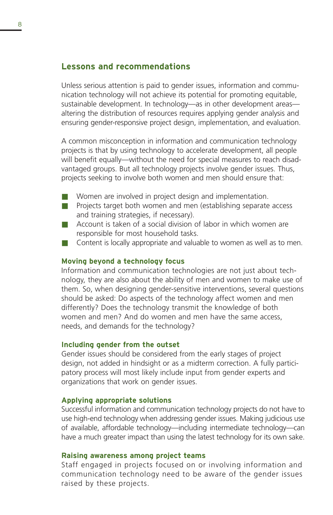### **Lessons and recommendations**

Unless serious attention is paid to gender issues, information and communication technology will not achieve its potential for promoting equitable, sustainable development. In technology—as in other development areas altering the distribution of resources requires applying gender analysis and ensuring gender-responsive project design, implementation, and evaluation.

A common misconception in information and communication technology projects is that by using technology to accelerate development, all people will benefit equally—without the need for special measures to reach disadvantaged groups. But all technology projects involve gender issues. Thus, projects seeking to involve both women and men should ensure that:

- Women are involved in project design and implementation.
- Projects target both women and men (establishing separate access and training strategies, if necessary).
- Account is taken of a social division of labor in which women are responsible for most household tasks.
- Content is locally appropriate and valuable to women as well as to men.

### **Moving beyond a technology focus**

Information and communication technologies are not just about technology, they are also about the ability of men and women to make use of them. So, when designing gender-sensitive interventions, several questions should be asked: Do aspects of the technology affect women and men differently? Does the technology transmit the knowledge of both women and men? And do women and men have the same access, needs, and demands for the technology?

### **Including gender from the outset**

Gender issues should be considered from the early stages of project design, not added in hindsight or as a midterm correction. A fully participatory process will most likely include input from gender experts and organizations that work on gender issues.

### **Applying appropriate solutions**

Successful information and communication technology projects do not have to use high-end technology when addressing gender issues. Making judicious use of available, affordable technology—including intermediate technology—can have a much greater impact than using the latest technology for its own sake.

### **Raising awareness among project teams**

Staff engaged in projects focused on or involving information and communication technology need to be aware of the gender issues raised by these projects.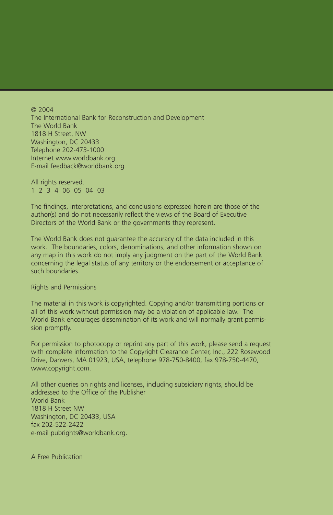© 2004 The International Bank for Reconstruction and Development The World Bank 1818 H Street, NW Washington, DC 20433 Telephone 202-473-1000 Internet www.worldbank.org E-mail feedback@worldbank.org

All rights reserved. 1 2 3 4 06 05 04 03

The findings, interpretations, and conclusions expressed herein are those of the author(s) and do not necessarily reflect the views of the Board of Executive Directors of the World Bank or the governments they represent.

The World Bank does not guarantee the accuracy of the data included in this work. The boundaries, colors, denominations, and other information shown on any map in this work do not imply any judgment on the part of the World Bank concerning the legal status of any territory or the endorsement or acceptance of such boundaries.

Rights and Permissions

The material in this work is copyrighted. Copying and/or transmitting portions or all of this work without permission may be a violation of applicable law. The World Bank encourages dissemination of its work and will normally grant permission promptly.

For permission to photocopy or reprint any part of this work, please send a request with complete information to the Copyright Clearance Center, Inc., 222 Rosewood Drive, Danvers, MA 01923, USA, telephone 978-750-8400, fax 978-750-4470, www.copyright.com.

All other queries on rights and licenses, including subsidiary rights, should be addressed to the Office of the Publisher World Bank 1818 H Street NW Washington, DC 20433, USA fax 202-522-2422 e-mail pubrights@worldbank.org.

A Free Publication